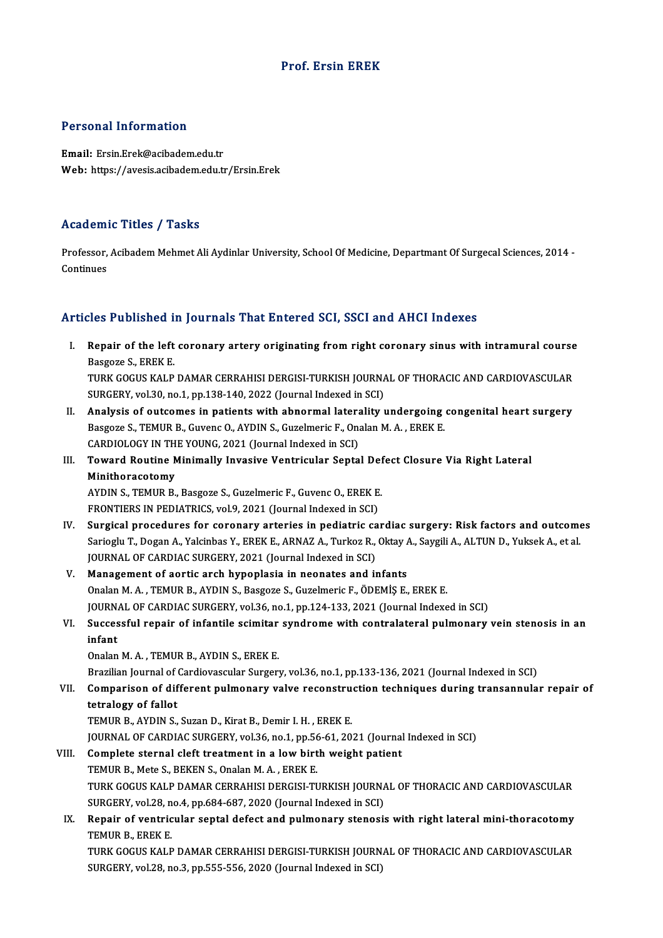## Prof. Ersin EREK

#### Personal Information

Email: Ersin.Erek@acibadem.edu.tr Web: https://avesis.acibadem.edu.tr/Ersin.Erek

#### Academic Titles / Tasks

**Academic Titles / Tasks**<br>Professor, Acibadem Mehmet Ali Aydinlar University, School Of Medicine, Departmant Of Surgecal Sciences, 2014 -<br>Continues Professor,<br>Continues

# Articles Published in Journals That Entered SCI, SSCI and AHCI Indexes

rticles Published in Journals That Entered SCI, SSCI and AHCI Indexes<br>I. Repair of the left coronary artery originating from right coronary sinus with intramural course<br>Ressons S. FREK F. Repair of the left<br>Basgoze S., EREK E.<br>TUPY COCUS YALD Repair of the left coronary artery originating from right coronary sinus with intramural course<br>Basgoze S., EREK E.<br>TURK GOGUS KALP DAMAR CERRAHISI DERGISI-TURKISH JOURNAL OF THORACIC AND CARDIOVASCULAR<br>SURCERY VR120 no.1 Basgoze S., EREK E.<br>TURK GOGUS KALP DAMAR CERRAHISI DERGISI-TURKISH JOURNAL OF THORACIC AND CARDIOVASCULAR<br>SURGERY, vol.30, no.1, pp.138-140, 2022 (Journal Indexed in SCI)

TURK GOGUS KALP DAMAR CERRAHISI DERGISI-TURKISH JOURNAL OF THORACIC AND CARDIOVASCULAR<br>SURGERY, vol.30, no.1, pp.138-140, 2022 (Journal Indexed in SCI)<br>II. Analysis of outcomes in patients with abnormal laterality undergoi SURGERY, vol.30, no.1, pp.138-140, 2022 (Journal Indexed in SCI)<br>Analysis of outcomes in patients with abnormal laterality undergoing<br>Basgoze S., TEMUR B., Guvenc O., AYDIN S., Guzelmeric F., Onalan M. A. , EREK E.<br>CARDIOL Analysis of outcomes in patients with abnormal latera<br>Basgoze S., TEMUR B., Guvenc O., AYDIN S., Guzelmeric F., Ona<br>CARDIOLOGY IN THE YOUNG, 2021 (Journal Indexed in SCI)<br>Toward Boutine Minimally Invesive Ventrieular Sente Basgoze S., TEMUR B., Guvenc O., AYDIN S., Guzelmeric F., Onalan M. A. , EREK E.<br>CARDIOLOGY IN THE YOUNG, 2021 (Journal Indexed in SCI)<br>III. Toward Routine Minimally Invasive Ventricular Septal Defect Closure Via Right

# CARDIOLOGY IN TH<br>Toward Routine N<br>Minithoracotomy<br>AYDIN S. TEMUR R Toward Routine Minimally Invasive Ventricular Septal Def<br>Minithoracotomy<br>AYDIN S., TEMUR B., Basgoze S., Guzelmeric F., Guvenc O., EREK E.<br>EPONTIERS IN REDIATRICS vol 9,2021 (Journal Indoved in SCD)

Minithoracotomy<br>AYDIN S., TEMUR B., Basgoze S., Guzelmeric F., Guvenc O., EREK E.<br>FRONTIERS IN PEDIATRICS, vol.9, 2021 (Journal Indexed in SCI)

- IV. Surgical procedures for coronary arteries in pediatric cardiac surgery: Risk factors and outcomes FRONTIERS IN PEDIATRICS, vol.9, 2021 (Journal Indexed in SCI)<br>Surgical procedures for coronary arteries in pediatric cardiac surgery: Risk factors and outcome<br>Sarioglu T., Dogan A., Yalcinbas Y., EREK E., ARNAZ A., Turkoz Surgical procedures for coronary arteries in pediatric cardiacy of the Sarioglu T., Dogan A., Yalcinbas Y., EREK E., ARNAZ A., Turkoz R., JOURNAL OF CARDIAC SURGERY, 2021 (Journal Indexed in SCI)<br>Managament of eartig arch Sarioglu T., Dogan A., Yalcinbas Y., EREK E., ARNAZ A., Turkoz R., Oktay A.<br>JOURNAL OF CARDIAC SURGERY, 2021 (Journal Indexed in SCI)<br>V. Management of aortic arch hypoplasia in neonates and infants<br>Opelan M.A., TEMUR B. AY
- JOURNAL OF CARDIAC SURGERY, 2021 (Journal Indexed in SCI)<br>V. Management of aortic arch hypoplasia in neonates and infants<br>Onalan M. A. , TEMUR B., AYDIN S., Basgoze S., Guzelmeric F., ÖDEMİŞ E., EREK E. JOURNAL OF CARDIAC SURGERY, vol.36, no.1, pp.124-133, 2021 (Journal Indexed in SCI) Onalan M. A. , TEMUR B., AYDIN S., Basgoze S., Guzelmeric F., ÖDEMİŞ E., EREK E.<br>JOURNAL OF CARDIAC SURGERY, vol.36, no.1, pp.124-133, 2021 (Journal Indexed in SCI)<br>VI. Successful repair of infantile scimitar syndrome
- JOURN.<br>Succes<br>infant Successful repair of infantile scimitar<br>infant<br>Onalan M.A., TEMUR B., AYDIN S., EREK E.<br>Presilien Journal of Cardiouaesular Surger: infant<br>Onalan M. A. , TEMUR B., AYDIN S., EREK E.<br>Brazilian Journal of Cardiovascular Surgery, vol.36, no.1, pp.133-136, 2021 (Journal Indexed in SCI)

## Onalan M. A. , TEMUR B., AYDIN S., EREK E.<br>Brazilian Journal of Cardiovascular Surgery, vol.36, no.1, pp.133-136, 2021 (Journal Indexed in SCI)<br>VII. Comparison of different pulmonary valve reconstruction techniques dur Brazilian Journal of<br>Comparison of dif<br>tetralogy of fallot<br>TEMUR B AVDIN S Comparison of different pulmonary valve reconstru<br>tetralogy of fallot<br>TEMUR B., AYDIN S., Suzan D., Kirat B., Demir I. H. , EREK E.<br>JOUPMAL OF CAPDIAC SUPCERY vol 26 no 1 nn 56 61 20 tetralogy of fallot<br>TEMUR B., AYDIN S., Suzan D., Kirat B., Demir I. H. , EREK E.<br>JOURNAL OF CARDIAC SURGERY, vol.36, no.1, pp.56-61, 2021 (Journal Indexed in SCI)<br>Complete sternal sleft treatment in a low birth weight pat

# TEMUR B., AYDIN S., Suzan D., Kirat B., Demir I. H., EREK E.<br>JOURNAL OF CARDIAC SURGERY, vol.36, no.1, pp.56-61, 2021 (Journal<br>VIII. Complete sternal cleft treatment in a low birth weight patient<br>TEMUR B., Mete S., BEKEN S

JOURNAL OF CARDIAC SURGERY, vol.36, no.1, pp.56<br>Complete sternal cleft treatment in a low birt<br>TEMUR B., Mete S., BEKEN S., Onalan M.A., EREK E.<br>TURK COCUS KALB DAMAR GERRAHISI DERGISLTI Complete sternal cleft treatment in a low birth weight patient<br>TEMUR B., Mete S., BEKEN S., Onalan M. A. , EREK E.<br>TURK GOGUS KALP DAMAR CERRAHISI DERGISI-TURKISH JOURNAL OF THORACIC AND CARDIOVASCULAR<br>SUBCERY VR. 28, De 4 TEMUR B., Mete S., BEKEN S., Onalan M. A. , EREK E.<br>TURK GOGUS KALP DAMAR CERRAHISI DERGISI-TURKISH JOURNA<br>SURGERY, vol.28, no.4, pp.684-687, 2020 (Journal Indexed in SCI)<br>Bonair of ventriqular sontal defect and nulmonary TURK GOGUS KALP DAMAR CERRAHISI DERGISI-TURKISH JOURNAL OF THORACIC AND CARDIOVASCULAR<br>SURGERY, vol.28, no.4, pp.684-687, 2020 (Journal Indexed in SCI)<br>IX. Repair of ventricular septal defect and pulmonary stenosis with ri

## SURGERY, vol.28, no.4, pp.684-687, 2020 (Journal Indexed in SCI)<br>Repair of ventricular septal defect and pulmonary stenosi<br>TEMUR B., EREK E. Repair of ventricular septal defect and pulmonary stenosis with right lateral mini-thoracotomy<br>TEMUR B., EREK E.<br>TURK GOGUS KALP DAMAR CERRAHISI DERGISI-TURKISH JOURNAL OF THORACIC AND CARDIOVASCULAR<br>SURCERY VR129 no.2, nn

TURK GOGUS KALP DAMAR CERRAHISI DERGISI-TURKISH JOURNAL OF THORACIC AND CARDIOVASCULAR<br>SURGERY, vol.28, no.3, pp.555-556, 2020 (Journal Indexed in SCI)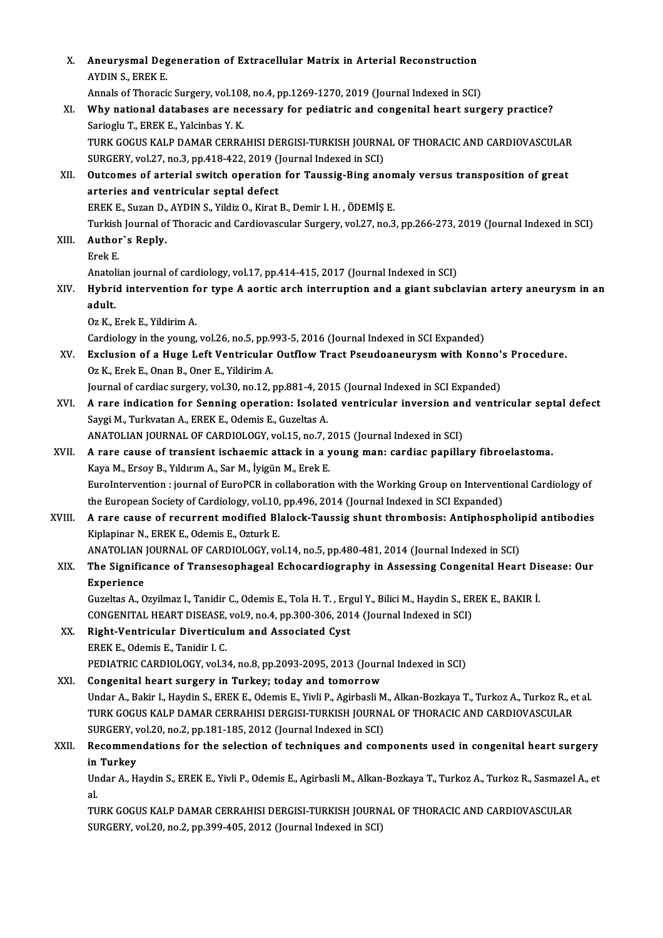| Х.     | Aneurysmal Degeneration of Extracellular Matrix in Arterial Reconstruction<br>AYDIN S, EREK E.                                                                   |
|--------|------------------------------------------------------------------------------------------------------------------------------------------------------------------|
|        | Annals of Thoracic Surgery, vol.108, no.4, pp.1269-1270, 2019 (Journal Indexed in SCI)                                                                           |
| XI.    | Why national databases are necessary for pediatric and congenital heart surgery practice?                                                                        |
|        | Sarioglu T., EREK E., Yalcinbas Y. K.                                                                                                                            |
|        | TURK GOGUS KALP DAMAR CERRAHISI DERGISI-TURKISH JOURNAL OF THORACIC AND CARDIOVASCULAR                                                                           |
|        | SURGERY, vol.27, no.3, pp.418-422, 2019 (Journal Indexed in SCI)                                                                                                 |
| XII.   | Outcomes of arterial switch operation for Taussig-Bing anomaly versus transposition of great                                                                     |
|        | arteries and ventricular septal defect                                                                                                                           |
|        | EREK E., Suzan D., AYDIN S., Yildiz O., Kirat B., Demir I. H., ÖDEMİŞ E.                                                                                         |
|        | Turkish Journal of Thoracic and Cardiovascular Surgery, vol.27, no.3, pp.266-273, 2019 (Journal Indexed in SCI)                                                  |
| XIII.  | Author's Reply.                                                                                                                                                  |
|        | Erek E                                                                                                                                                           |
|        | Anatolian journal of cardiology, vol.17, pp.414-415, 2017 (Journal Indexed in SCI)                                                                               |
| XIV.   | Hybrid intervention for type A aortic arch interruption and a giant subclavian artery aneurysm in an                                                             |
|        | adult.                                                                                                                                                           |
|        | Oz K., Erek E., Yildirim A.                                                                                                                                      |
|        | Cardiology in the young, vol.26, no.5, pp.993-5, 2016 (Journal Indexed in SCI Expanded)                                                                          |
| XV.    | Exclusion of a Huge Left Ventricular Outflow Tract Pseudoaneurysm with Konno's Procedure.                                                                        |
|        | Oz K., Erek E., Onan B., Oner E., Yildirim A.                                                                                                                    |
|        | Journal of cardiac surgery, vol.30, no.12, pp.881-4, 2015 (Journal Indexed in SCI Expanded)                                                                      |
| XVI.   | A rare indication for Senning operation: Isolated ventricular inversion and ventricular septal defect<br>Saygi M., Turkvatan A., EREK E., Odemis E., Guzeltas A. |
|        | ANATOLIAN JOURNAL OF CARDIOLOGY, vol.15, no.7, 2015 (Journal Indexed in SCI)                                                                                     |
| XVII.  | A rare cause of transient ischaemic attack in a young man: cardiac papillary fibroelastoma.                                                                      |
|        | Kaya M., Ersoy B., Yıldırım A., Sar M., İyigün M., Erek E.                                                                                                       |
|        | EuroIntervention : journal of EuroPCR in collaboration with the Working Group on Interventional Cardiology of                                                    |
|        | the European Society of Cardiology, vol.10, pp.496, 2014 (Journal Indexed in SCI Expanded)                                                                       |
| XVIII. | A rare cause of recurrent modified Blalock-Taussig shunt thrombosis: Antiphospholipid antibodies                                                                 |
|        | Kiplapinar N., EREK E., Odemis E., Ozturk E.                                                                                                                     |
|        | ANATOLIAN JOURNAL OF CARDIOLOGY, vol.14, no.5, pp.480-481, 2014 (Journal Indexed in SCI)                                                                         |
| XIX.   | The Significance of Transesophageal Echocardiography in Assessing Congenital Heart Disease: Our                                                                  |
|        | Experience                                                                                                                                                       |
|        | Guzeltas A., Ozyilmaz I., Tanidir C., Odemis E., Tola H. T., Ergul Y., Bilici M., Haydin S., EREK E., BAKIR İ.                                                   |
|        | CONGENITAL HEART DISEASE, vol.9, no.4, pp.300-306, 2014 (Journal Indexed in SCI)                                                                                 |
| XX.    | Right-Ventricular Diverticulum and Associated Cyst                                                                                                               |
|        | EREK E., Odemis E., Tanidir I. C.                                                                                                                                |
|        | PEDIATRIC CARDIOLOGY, vol.34, no.8, pp.2093-2095, 2013 (Journal Indexed in SCI)                                                                                  |
| XXI.   | Congenital heart surgery in Turkey; today and tomorrow                                                                                                           |
|        | Undar A., Bakir I., Haydin S., EREK E., Odemis E., Yivli P., Agirbasli M., Alkan-Bozkaya T., Turkoz A., Turkoz R., et al.                                        |
|        | TURK GOGUS KALP DAMAR CERRAHISI DERGISI-TURKISH JOURNAL OF THORACIC AND CARDIOVASCULAR                                                                           |
|        | SURGERY, vol.20, no.2, pp.181-185, 2012 (Journal Indexed in SCI)                                                                                                 |
| XXII.  | Recommendations for the selection of techniques and components used in congenital heart surgery                                                                  |
|        | in Turkey                                                                                                                                                        |
|        | Undar A., Haydin S., EREK E., Yivli P., Odemis E., Agirbasli M., Alkan-Bozkaya T., Turkoz A., Turkoz R., Sasmazel A., et<br>al.                                  |
|        | TURK GOGUS KALP DAMAR CERRAHISI DERGISI-TURKISH JOURNAL OF THORACIC AND CARDIOVASCULAR                                                                           |
|        | SURGERY, vol.20, no.2, pp.399-405, 2012 (Journal Indexed in SCI)                                                                                                 |
|        |                                                                                                                                                                  |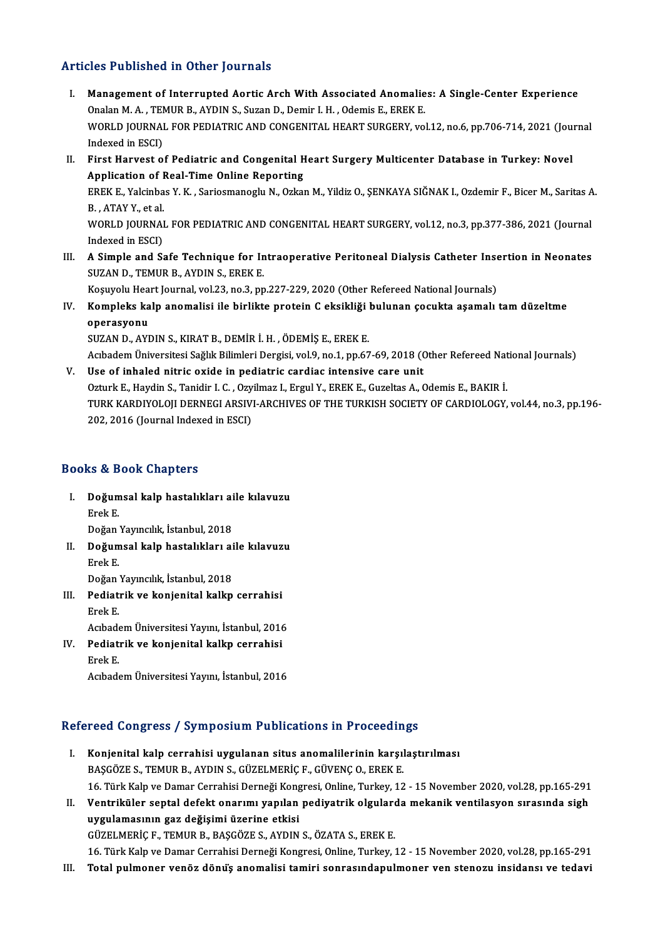### Articles Published in Other Journals

- I. Management of Interrupted Aortic Arch With Associated Anomalies: A Single-Center Experience<br>I. Management of Interrupted Aortic Arch With Associated Anomalies: A Single-Center Experience Management of Interrupted Aortic Arch With Associated Anomalie<br>Onalan M. A. , TEMUR B., AYDIN S., Suzan D., Demir I. H. , Odemis E., EREK E.<br>WORLD JOURNAL FOR REDIATRIC AND CONCENITAL UEART SURCERY .vo Management of Interrupted Aortic Arch With Associated Anomalies: A Single-Center Experience<br>Onalan M. A. , TEMUR B., AYDIN S., Suzan D., Demir I. H. , Odemis E., EREK E.<br>WORLD JOURNAL FOR PEDIATRIC AND CONGENITAL HEART SUR Onalan M. A. , TEI<br>WORLD JOURNAI<br>Indexed in ESCI)<br>Einst Houvest o WORLD JOURNAL FOR PEDIATRIC AND CONGENITAL HEART SURGERY, vol.12, no.6, pp.706-714, 2021 (Jou:<br>Indexed in ESCI)<br>II. First Harvest of Pediatric and Congenital Heart Surgery Multicenter Database in Turkey: Novel<br>Annisotion o
- Indexed in ESCI)<br>II. First Harvest of Pediatric and Congenital Heart Surgery Multicenter Database in Turkey: Novel<br>Application of Real-Time Online Reporting First Harvest of Pediatric and Congenital Heart Surgery Multicenter Database in Turkey: Novel<br>Application of Real-Time Online Reporting<br>EREK E., Yalcinbas Y. K. , Sariosmanoglu N., Ozkan M., Yildiz O., ŞENKAYA SIĞNAK I., O Appli<mark>cation of I</mark><br>EREK E., Yalcinba<br>B. , ATAY Y., et al.<br>WORLD JOURNAI

EREK E., Yalcinbas Y. K. , Sariosmanoglu N., Ozkan M., Yildiz O., ŞENKAYA SIĞNAK I., Ozdemir F., Bicer M., Saritas A<br>B. , ATAY Y., et al.<br>WORLD JOURNAL FOR PEDIATRIC AND CONGENITAL HEART SURGERY, vol.12, no.3, pp.377-386, B. , ATAY Y., et al.<br>WORLD JOURNAI<br>Indexed in ESCI)<br>A Simple and S. WORLD JOURNAL FOR PEDIATRIC AND CONGENITAL HEART SURGERY, vol.12, no.3, pp.377-386, 2021 (Journal<br>Indexed in ESCI)<br>III. A Simple and Safe Technique for Intraoperative Peritoneal Dialysis Catheter Insertion in Neonates<br>SUZA

Indexed in ESCI)<br>A Simple and Safe Technique for In<br>SUZAN D., TEMUR B., AYDIN S., EREK E. III. A Simple and Safe Technique for Intraoperative Peritoneal Dialysis Catheter Insertion in Neonates

Koşuyolu Heart Journal, vol.23, no.3, pp.227-229, 2020 (Other Refereed National Journals)

IV. Kompleks kalp anomalisi ile birlikte protein C eksikliği bulunan çocukta aşamalı tamdüzeltme operasyonu<br>SUZAN D., AYDIN S., KIRAT B., DEMİR İ. H. , ÖDEMİŞ E., EREK E.<br>Acıbadem Üniversitesi Sağlık Bilimleri Dergisi, vol.9, no.1, pp.67-69, 2018 (Other Refereed National Journals)<br>Hee ef inheled nitrie evide in nediet

SUZAND.,AYDINS.,KIRATB.,DEMİRİ.H. ,ÖDEMİŞE.,EREKE.

V. Use of inhaled nitric oxide in pediatric cardiac intensive care unit Acıbadem Üniversitesi Sağlık Bilimleri Dergisi, vol.9, no.1, pp.67-69, 2018 (Other Refereed Nat<br>Use of inhaled nitric oxide in pediatric cardiac intensive care unit<br>Ozturk E., Haydin S., Tanidir I. C. , Ozyilmaz I., Ergul Use of inhaled nitric oxide in pediatric cardiac intensive care unit<br>Ozturk E., Haydin S., Tanidir I. C. , Ozyilmaz I., Ergul Y., EREK E., Guzeltas A., Odemis E., BAKIR İ.<br>TURK KARDIYOLOJI DERNEGI ARSIVI-ARCHIVES OF THE TU Ozturk E., Haydin S., Tanidir I. C. , Ozy<br>TURK KARDIYOLOJI DERNEGI ARSIV<br>202, 2016 (Journal Indexed in ESCI) 202, 2016 (Journal Indexed in ESCI)<br>Books & Book Chapters

- I. Doğumsal kalp hastalıkları aile kılavuzu Erek<br>Doğum<br>Erek E. Do<mark>ğumsal kalp hastalıkları ai</mark><br>Erek E.<br>Doğan Yayıncılık, İstanbul, 2018<br>Doğumsal kalp hastalıkları ai Erek E.<br>Doğan Yayıncılık, İstanbul, 2018<br>II. Doğumsal kalp hastalıkları aile kılavuzu<br>Erek E.
- Doğan<br>**Doğum**<br>Erek E. Do<mark>ğumsal kalp hastalıkları ai</mark><br>Erek E.<br>Doğan Yayıncılık, İstanbul, 2018<br>Podiatrik ve konianital kalkn
- III. Pediatrik ve konjenital kalkp cerrahisi<br>Erek E. Doğan<br>Pediat:<br>Erek E. Pediatrik ve konjenital kalkp cerrahisi<br>Erek E.<br>Acıbadem Üniversitesi Yayını, İstanbul, 2016<br>Pediatrik ve konjenital kalkp cerrebisi

IV. Pediatrik ve konjenital kalkp cerrahisi Acıbade<br>Pediat:<br>Erek E. AcıbademÜniversitesiYayını, İstanbul,2016

# Acibadem Universitesi rayini, istanbul, 2016<br>Refereed Congress / Symposium Publications in Proceedings

- efereed Congress / Symposium Publications in Proceedings<br>I. Konjenital kalp cerrahisi uygulanan situs anomalilerinin karşılaştırılması<br>RASCÖZES TEMUR RANDAS CÜZELMERICE CÜVENCO EREKE I. Konjenital kalp cerrahisi uygulanan situs anomalilerinin karşılaştırılması<br>BAŞGÖZE S., TEMUR B., AYDIN S., GÜZELMERİÇ F., GÜVENÇ O., EREK E. Konjenital kalp cerrahisi uygulanan situs anomalilerinin karşılaştırılması<br>BAŞGÖZE S., TEMUR B., AYDIN S., GÜZELMERİÇ F., GÜVENÇ O., EREK E.<br>16. Türk Kalp ve Damar Cerrahisi Derneği Kongresi, Online, Turkey, 12 - 15 Novemb
- II. Ventriküler septal defekt onarımı yapılan pediyatrik olgularda mekanik ventilasyon sırasında sigh<br>uygulamasının gaz değişimi üzerine etkisi 16. Türk Kalp ve Damar Cerrahisi Derneği Kong<br>Ventriküler septal defekt onarımı yapılan<br>uygulamasının gaz değişimi üzerine etkisi<br>Cüzel MERİCE, TEMUR B. BASCÖZES, AYDIN GÜZELMERİÇF.,TEMURB.,BAŞGÖZES.,AYDINS.,ÖZATAS.,EREKE. uygulamasının gaz değişimi üzerine etkisi<br>GÜZELMERİÇ F., TEMUR B., BAŞGÖZE S., AYDIN S., ÖZATA S., EREK E.<br>16. Türk Kalp ve Damar Cerrahisi Derneği Kongresi, Online, Turkey, 12 - 15 November 2020, vol.28, pp.165-291<br>Tetal GÜZELMERİÇ F., TEMUR B., BAŞGÖZE S., AYDIN S., ÖZATA S., EREK E.<br>16. Türk Kalp ve Damar Cerrahisi Derneği Kongresi, Online, Turkey, 12 - 15 November 2020, vol.28, pp.165-291<br>III. Total pulmoner venöz dönüş anomalisi ta
-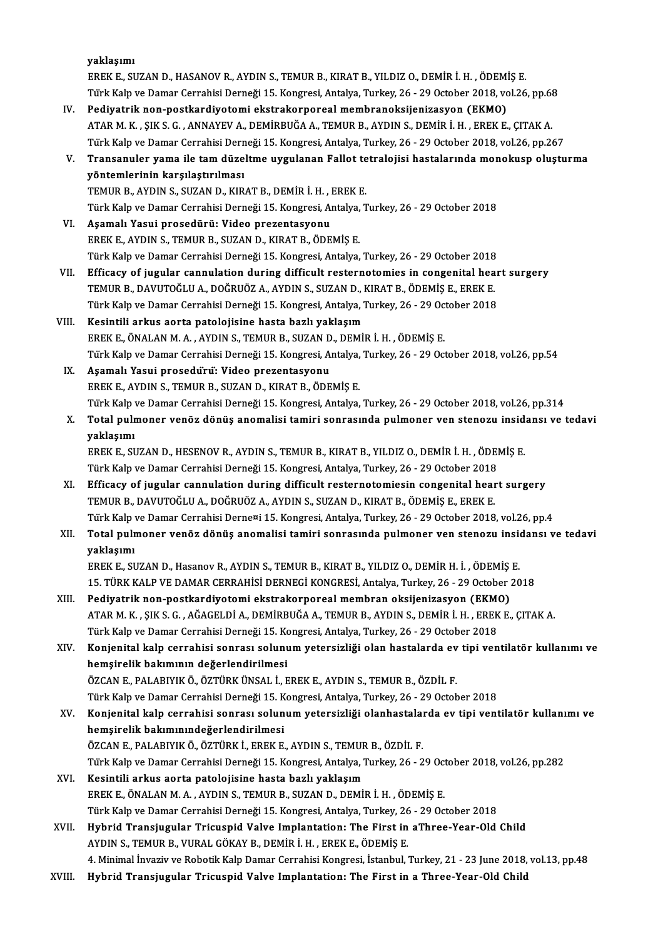|        | yaklaşımı                                                                                                       |
|--------|-----------------------------------------------------------------------------------------------------------------|
|        | EREK E., SUZAN D., HASANOV R., AYDIN S., TEMUR B., KIRAT B., YILDIZ O., DEMİR İ. H. , ÖDEMİŞ E.                 |
|        | Türk Kalp ve Damar Cerrahisi Derneği 15. Kongresi, Antalya, Turkey, 26 - 29 October 2018, vol.26, pp.68         |
| IV.    | Pediyatrik non-postkardiyotomi ekstrakorporeal membranoksijenizasyon (EKMO)                                     |
|        | ATAR M. K. , ŞIK S. G. , ANNAYEV A., DEMİRBUĞA A., TEMUR B., AYDIN S., DEMİR İ. H. , EREK E., ÇITAK A.          |
|        | Türk Kalp ve Damar Cerrahisi Derneği 15. Kongresi, Antalya, Turkey, 26 - 29 October 2018, vol.26, pp.267        |
| V.     | Transanuler yama ile tam düzeltme uygulanan Fallot tetralojisi hastalarında monokusp oluşturma                  |
|        | yöntemlerinin karşılaştırılması                                                                                 |
|        | TEMUR B., AYDIN S., SUZAN D., KIRAT B., DEMİR İ. H., EREK E.                                                    |
|        | Türk Kalp ve Damar Cerrahisi Derneği 15. Kongresi, Antalya, Turkey, 26 - 29 October 2018                        |
| VI.    | Aşamalı Yasui prosedürü: Video prezentasyonu                                                                    |
|        | EREK E., AYDIN S., TEMUR B., SUZAN D., KIRAT B., ÖDEMİŞ E.                                                      |
|        | Türk Kalp ve Damar Cerrahisi Derneği 15. Kongresi, Antalya, Turkey, 26 - 29 October 2018                        |
| VII.   | Efficacy of jugular cannulation during difficult resternotomies in congenital heart surgery                     |
|        | TEMUR B., DAVUTOĞLU A., DOĞRUÖZ A., AYDIN S., SUZAN D., KIRAT B., ÖDEMİŞ E., EREK E.                            |
|        | Türk Kalp ve Damar Cerrahisi Derneği 15. Kongresi, Antalya, Turkey, 26 - 29 October 2018                        |
| VIII.  | Kesintili arkus aorta patolojisine hasta bazlı yaklaşım                                                         |
|        | EREK E., ÖNALAN M. A., AYDIN S., TEMUR B., SUZAN D., DEMİR İ. H., ÖDEMİŞ E.                                     |
|        | Türk Kalp ve Damar Cerrahisi Derneği 15. Kongresi, Antalya, Turkey, 26 - 29 October 2018, vol.26, pp.54         |
| IX.    | Aşamalı Yasui prosedürü: Video prezentasyonu                                                                    |
|        | EREK E., AYDIN S., TEMUR B., SUZAN D., KIRAT B., ÖDEMİŞ E.                                                      |
|        | Türk Kalp ve Damar Cerrahisi Derneği 15. Kongresi, Antalya, Turkey, 26 - 29 October 2018, vol.26, pp.314        |
| Х.     | Total pulmoner venöz dönüş anomalisi tamiri sonrasında pulmoner ven stenozu insidansı ve tedavi                 |
|        | yaklaşımı                                                                                                       |
|        | EREK E., SUZAN D., HESENOV R., AYDIN S., TEMUR B., KIRAT B., YILDIZ O., DEMİR İ. H. , ÖDEMİŞ E.                 |
|        | Türk Kalp ve Damar Cerrahisi Derneği 15. Kongresi, Antalya, Turkey, 26 - 29 October 2018                        |
| XI.    | Efficacy of jugular cannulation during difficult resternotomiesin congenital heart surgery                      |
|        | TEMUR B., DAVUTOĞLU A., DOĞRUÖZ A., AYDIN S., SUZAN D., KIRAT B., ÖDEMİŞ E., EREK E.                            |
|        | Türk Kalp ve Damar Cerrahisi Derne¤i 15. Kongresi, Antalya, Turkey, 26 - 29 October 2018, vol.26, pp.4          |
| XII.   | Total pulmoner venöz dönüş anomalisi tamiri sonrasında pulmoner ven stenozu insidansı ve tedavi                 |
|        | yaklaşımı                                                                                                       |
|        | EREK E., SUZAN D., Hasanov R., AYDIN S., TEMUR B., KIRAT B., YILDIZ O., DEMİR H. İ., ÖDEMİŞ E.                  |
|        | 15. TÜRK KALP VE DAMAR CERRAHİSİ DERNEGİ KONGRESİ, Antalya, Turkey, 26 - 29 October 2018                        |
| XIII.  | Pediyatrik non-postkardiyotomi ekstrakorporeal membran oksijenizasyon (EKMO)                                    |
|        | ATAR M. K. , ŞIK S. G. , AĞAGELDİ A., DEMİRBUĞA A., TEMUR B., AYDIN S., DEMİR İ. H. , EREK E., ÇITAK A.         |
|        | Türk Kalp ve Damar Cerrahisi Derneği 15. Kongresi, Antalya, Turkey, 26 - 29 October 2018                        |
| XIV.   | Konjenital kalp cerrahisi sonrası solunum yetersizliği olan hastalarda ev tipi ventilatör kullanımı ve          |
|        | hemşirelik bakımının değerlendirilmesi                                                                          |
|        | ÖZCAN E., PALABIYIK Ö., ÖZTÜRK ÜNSAL İ., EREK E., AYDIN S., TEMUR B., ÖZDİL F.                                  |
|        | Türk Kalp ve Damar Cerrahisi Derneği 15. Kongresi, Antalya, Turkey, 26 - 29 October 2018                        |
| XV.    | Konjenital kalp cerrahisi sonrası solunum yetersizliği olanhastalarda ev tipi ventilatör kullanımı ve           |
|        | hemşirelik bakımınındeğerlendirilmesi                                                                           |
|        | ÖZCAN E., PALABIYIK Ö., ÖZTÜRK İ., EREK E., AYDIN S., TEMUR B., ÖZDİL F.                                        |
|        | Türk Kalp ve Damar Cerrahisi Derneği 15. Kongresi, Antalya, Turkey, 26 - 29 October 2018, vol.26, pp.282        |
| XVI.   | Kesintili arkus aorta patolojisine hasta bazlı yaklaşım                                                         |
|        | EREK E., ÖNALAN M. A., AYDIN S., TEMUR B., SUZAN D., DEMİR İ. H., ÖDEMİŞ E.                                     |
|        | Türk Kalp ve Damar Cerrahisi Derneği 15. Kongresi, Antalya, Turkey, 26 - 29 October 2018                        |
| XVII.  | Hybrid Transjugular Tricuspid Valve Implantation: The First in aThree-Year-Old Child                            |
|        | AYDIN S., TEMUR B., VURAL GÖKAY B., DEMİR İ.H., EREK E., ÖDEMİŞ E.                                              |
|        | 4. Minimal İnvaziv ve Robotik Kalp Damar Cerrahisi Kongresi, İstanbul, Turkey, 21 - 23 June 2018, vol.13, pp.48 |
| XVIII. | Hybrid Transjugular Tricuspid Valve Implantation: The First in a Three-Year-Old Child                           |
|        |                                                                                                                 |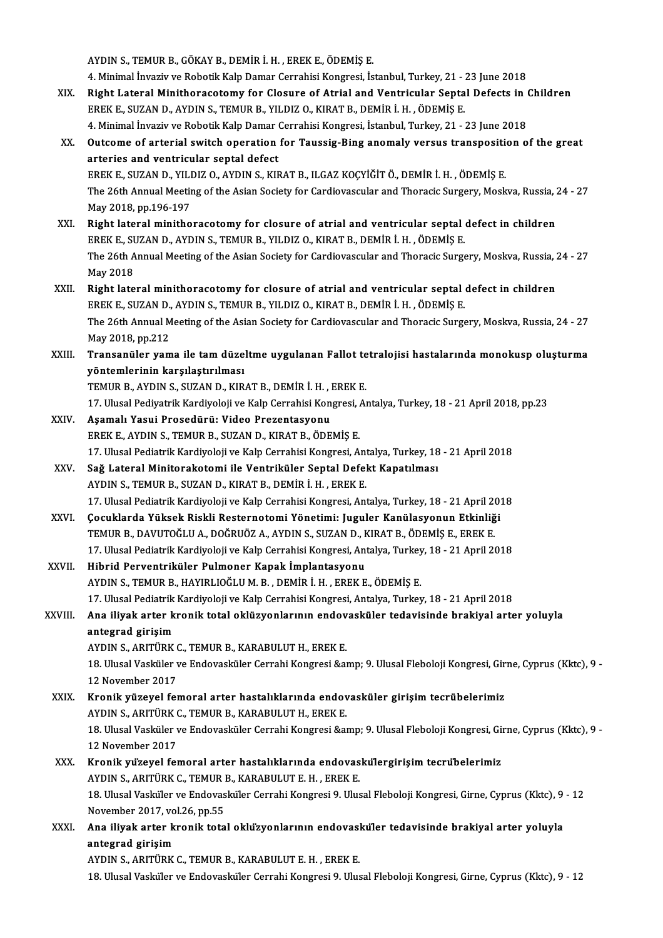AYDINS.,TEMURB.,GÖKAYB.,DEMİRİ.H. ,EREKE.,ÖDEMİŞE.

AYDIN S., TEMUR B., GÖKAY B., DEMİR İ. H. , EREK E., ÖDEMİŞ E.<br>4. Minimal İnvaziv ve Robotik Kalp Damar Cerrahisi Kongresi, İstanbul, Turkey, 21 - 23 June 2018<br>Bisht Lataral Minithorasatamı: fan Clasure of Atrial and Ventr

- AYDIN S., TEMUR B., GÖKAY B., DEMIR İ. H. , EREK E., ÖDEMİŞ E.<br>4. Minimal İnvaziv ve Robotik Kalp Damar Cerrahisi Kongresi, İstanbul, Turkey, 21 23 June 2018<br>XIX. Right Lateral Minithoracotomy for Closure of Atrial a 4. Minimal İnvaziv ve Robotik Kalp Damar Cerrahisi Kongresi, İstanbul, Turkey, 21 - .<br>Right Lateral Minithoracotomy for Closure of Atrial and Ventricular Septa<br>EREK E., SUZAN D., AYDIN S., TEMUR B., YILDIZ O., KIRAT B., DE Right Lateral Minithoracotomy for Closure of Atrial and Ventricular Septal Defects in (<br>EREK E., SUZAN D., AYDIN S., TEMUR B., YILDIZ O., KIRAT B., DEMİR İ. H. , ÖDEMİŞ E.<br>4. Minimal İnvaziv ve Robotik Kalp Damar Cerrahisi
- EREK E., SUZAN D., AYDIN S., TEMUR B., YILDIZ O., KIRAT B., DEMİR İ. H. , ÖDEMİŞ E.<br>4. Minimal İnvaziv ve Robotik Kalp Damar Cerrahisi Kongresi, İstanbul, Turkey, 21 23 June 2018<br>XX. Outcome of arterial switch operat 4. Minimal İnvaziv ve Robotik Kalp Damar Cerrahisi Kongresi, İstanbul, Turkey, 21 - 23 June 2018<br>Outcome of arterial switch operation for Taussig-Bing anomaly versus transposition c<br>arteries and ventricular septal defect<br>E Outcome of arterial switch operation for Taussig-Bing anomaly versus transposition<br>arteries and ventricular septal defect<br>EREK E., SUZAN D., YILDIZ O., AYDIN S., KIRAT B., ILGAZ KOÇYİĞİT Ö., DEMİR İ. H. , ÖDEMİŞ E.<br>The 26t arteries and ventricular septal defect<br>EREK E., SUZAN D., YILDIZ O., AYDIN S., KIRAT B., ILGAZ KOÇYİĞİT Ö., DEMİR İ. H. , ÖDEMİŞ E.<br>The 26th Annual Meeting of the Asian Society for Cardiovascular and Thoracic Surgery, Mosk May2018,pp.196-197 The 26th Annual Meeting of the Asian Society for Cardiovascular and Thoracic Surgery, Moskva, Russia, 2<br>May 2018, pp.196-197<br>XXI. Right lateral minithoracotomy for closure of atrial and ventricular septal defect in childre
- Right lateral minithoracotomy for closure of atrial and ventricular septal defect in children<br>EREK E., SUZAN D., AYDIN S., TEMUR B., YILDIZ O., KIRAT B., DEMİR İ. H., ÖDEMİŞ E. Right lateral minithoracotomy for closure of atrial and ventricular septal defect in children<br>EREK E., SUZAN D., AYDIN S., TEMUR B., YILDIZ O., KIRAT B., DEMİR İ. H. , ÖDEMİŞ E.<br>The 26th Annual Meeting of the Asian Society EREK E., SI<br>The 26th A<br>May 2018<br>Pight late The 26th Annual Meeting of the Asian Society for Cardiovascular and Thoracic Surgery, Moskva, Russia, 2<br>May 2018<br>XXII. Right lateral minithoracotomy for closure of atrial and ventricular septal defect in children<br>FREV E. S
- May 2018<br><mark>Right lateral minithoracotomy for closure of atrial and ventricular septal</mark><br>EREK E., SUZAN D., AYDIN S., TEMUR B., YILDIZ O., KIRAT B., DEMİR İ. H. , ÖDEMİŞ E.<br>The 26th Annual Mesting of the Asian Sesisty for Car Right lateral minithoracotomy for closure of atrial and ventricular septal defect in children<br>EREK E., SUZAN D., AYDIN S., TEMUR B., YILDIZ O., KIRAT B., DEMİR İ. H. , ÖDEMİŞ E.<br>The 26th Annual Meeting of the Asian Society EREK E., SUZAN D., AYDIN S., TEMUR B., YILDIZ O., KIRAT B., DEMİR İ. H. , ÖDEMİŞ E.<br>The 26th Annual Meeting of the Asian Society for Cardiovascular and Thoracic Surgery, Moskva, Russia, 24 - 27<br>May 2018, pp.212 The 26th Annual Meeting of the Asian Society for Cardiovascular and Thoracic Surgery, Moskva, Russia, 24 - 27<br>May 2018, pp.212<br>XXIII. Transanüler yama ile tam düzeltme uygulanan Fallot tetralojisi hastalarında monokusp
- May 2018, pp.212<br>Transanüler yama ile tam düze<br>yöntemlerinin karşılaştırılması<br>TEMUR B. AYDIN S. SUZAN D. KIR Transanüler yama ile tam düzeltme uygulanan Fallot te<br>yöntemlerinin karşılaştırılması<br>TEMUR B., AYDIN S., SUZAN D., KIRAT B., DEMİR İ. H. , EREK E.<br>17 Hlucal Pediyatrik Kardiyaleji ve Kalp Carrabisi Kansresi, A.

17. yöntemlerinin karşılaştırılması<br>17. Ulusal Pediyatrik Kardiyoloji ve Kalp Cerrahisi Kongresi, Antalya, Turkey, 18 - 21 April 2018, pp.23<br>17. Ulusal Pediyatrik Kardiyoloji ve Kalp Cerrahisi Kongresi, Antalya, Turkey, 18 TEMUR B., AYDIN S., SUZAN D., KIRAT B., DEMİR İ. H. , EREK E.<br>17. Ulusal Pediyatrik Kardiyoloji ve Kalp Cerrahisi Kongresi, Aı<br>XXIV. Aşamalı Yasui Prosedürü: Video Prezentasyonu

- EREKE.,AYDINS.,TEMURB.,SUZAND.,KIRATB.,ÖDEMİŞE. 17. Ulusal Pediatrik Kardiyoloji ve Kalp Cerrahisi Kongresi, Antalya, Turkey, 18 - 21 April 2018 EREK E., AYDIN S., TEMUR B., SUZAN D., KIRAT B., ÖDEMİŞ E.<br>17. Ulusal Pediatrik Kardiyoloji ve Kalp Cerrahisi Kongresi, Antalya, Turkey, 18<br>XXV. Sağ Lateral Minitorakotomi ile Ventriküler Septal Defekt Kapatılması
- 17. Ulusal Pediatrik Kardiyoloji ve Kalp Cerrahisi Kongresi, Ant<br>Sağ Lateral Minitorakotomi ile Ventriküler Septal Defel<br>AYDIN S., TEMUR B., SUZAN D., KIRAT B., DEMİR İ. H. , EREK E.<br>17. Ulusal Pediatrik Kardiyaleji ve Kal 19. AYDIN S., TEMUR B., SUZAN D., KIRAT B., DEMİR İ. H. , EREK E.<br>17. Ulusal Pediatrik Kardiyoloji ve Kalp Cerrahisi Kongresi, Antalya, Turkey, 18 - 21 April 2018 AYDIN S., TEMUR B., SUZAN D., KIRAT B., DEMİR İ. H. , EREK E.<br>17. Ulusal Pediatrik Kardiyoloji ve Kalp Cerrahisi Kongresi, Antalya, Turkey, 18 - 21 April 20<br>XXVI. Cocuklarda Yüksek Riskli Resternotomi Yönetimi: Juguler Kan
- 17. Ulusal Pediatrik Kardiyoloji ve Kalp Cerrahisi Kongresi, Antalya, Turkey, 18 21 April 20 (Socuklarda Yüksek Riskli Resternotomi Yönetimi: Juguler Kanülasyonun Etkinliğ<br>TEMUR B., DAVUTOĞLU A., DOĞRUÖZ A., AYDIN S., SU Çocuklarda Yüksek Riskli Resternotomi Yönetimi: Juguler Kanülasyonun Etkinliği<br>TEMUR B., DAVUTOĞLU A., DOĞRUÖZ A., AYDIN S., SUZAN D., KIRAT B., ÖDEMİŞ E., EREK E.<br>17. Ulusal Pediatrik Kardiyoloji ve Kalp Cerrahisi Kongres TEMUR B., DAVUTOĞLU A., DOĞRUÖZ A., AYDIN S., SUZAN D., KIRAT B., ÖDEMİŞ E., EREK E.<br>17. Ulusal Pediatrik Kardiyoloji ve Kalp Cerrahisi Kongresi, Antalya, Turkey, 18 - 21 April 2018<br>XXVII. Hibrid Perventriküler Pulmone
- AYDINS.,TEMURB.,HAYIRLIOĞLUM.B. ,DEMİRİ.H. ,EREKE.,ÖDEMİŞE. 17.UlusalPediatrikKardiyolojiveKalpCerrahisiKongresi,Antalya,Turkey,18 -21April2018 AYDIN S., TEMUR B., HAYIRLIOĞLU M. B. , DEMİR İ. H. , EREK E., ÖDEMİŞ E.<br>17. Ulusal Pediatrik Kardiyoloji ve Kalp Cerrahisi Kongresi, Antalya, Turkey, 18 - 21 April 2018<br>21. Ana iliyak arter kronik total oklüzyonlarının en

# 17. Ulusal Pediatrik<br>Ana iliyak arter k<br>antegrad girişim Ana iliyak arter kronik total oklüzyonlarının endov<br>antegrad girişim<br>AYDIN S., ARITÜRK C., TEMUR B., KARABULUT H., EREK E.<br>19. Ulucal Vaskülar ve Endovaskülar Carrabi Kongresi Sal

antegrad girişim<br>AYDIN S., ARITÜRK C., TEMUR B., KARABULUT H., EREK E.<br>13. Ulusal Vasküler ve Endovasküler Cerrahi Kongresi &amp; 9. Ulusal Fleboloji Kongresi, Girne, Cyprus (Kktc), 9 -<br>12. November 2017 AYDIN S., ARITÜRK (<br>18. Ulusal Vasküler v<br>12 November 2017<br>Kronik vürevel fo 18. Ulusal Vasküler ve Endovasküler Cerrahi Kongresi & 9. Ulusal Fleboloji Kongresi, Gir<br>12 November 2017<br>XXIX. Kronik yüzeyel femoral arter hastalıklarında endovasküler girişim tecrübelerimiz<br>AYDIN S. ARITÜRK G. TEMUR

- 12 November 2017<br>Kronik yüzeyel femoral arter hastalıklarında endov<br>AYDIN S., ARITÜRK C., TEMUR B., KARABULUT H., EREK E.<br>18 Hlusel Vasküler ve Endovasküler Cerrebi Kongresi Sel Kronik yüzeyel femoral arter hastalıklarında endovasküler girişim tecrübelerimiz<br>AYDIN S., ARITÜRK C., TEMUR B., KARABULUT H., EREK E.<br>13. Ulusal Vasküler ve Endovasküler Cerrahi Kongresi &amp; 9. Ulusal Fleboloji Kongresi AYDIN S., ARITÜRK (<br>18. Ulusal Vasküler v<br>12 November 2017<br>Kronik wüzeyel fo 18. Ulusal Vasküler ve Endovasküler Cerrahi Kongresi & 9. Ulusal Fleboloji Kongresi, Gi<br>12 November 2017<br>XXX. Kronik yüzeyel femoral arter hastalıklarında endovaskülergirişim tecrübelerimiz<br>AYDIN S. ARITÜRK C. TEMUR R. 12 November 2017<br>Kronik yüzeyel femoral arter hastalıklarında endovaskülergirişim tecrübelerimiz
- 18. Ulusal Vasküler ve Endovasküler Cerrahi Kongresi 9. Ulusal Fleboloji Kongresi, Girne, Cyprus (Kktc), 9 12<br>November 2017, vol.26, pp.55 AYDIN S., ARITÜRK C., TEMUR B., KARABULUT E. H., EREK E. 18. Ulusal Vasküler ve Endovasküler Cerrahi Kongresi 9. Ulusal Fleboloji Kongresi, Girne, Cyprus (Kktc), 9<br>November 2017, vol.26, pp.55<br>XXXI. Ana iliyak arter kronik total oklüzyonlarının endovasküler tedavisinde brakiyal
- November 2017, vo<br>Ana iliyak arter k<br>antegrad girişim<br>AVDIN S. ARITÜRK Ana iliyak arter kronik total okluzyonlarının endovasl<br>antegrad girişim<br>AYDIN S., ARITÜRK C., TEMUR B., KARABULUT E. H. , EREK E.<br>18 Hlucel Vaskülar ve Endovasküler Cerreki Kangresi 9 Hluc antegrad girişim<br>AYDIN S., ARITÜRK C., TEMUR B., KARABULUT E. H. , EREK E.<br>18. Ulusal Vasküler ve Endovasküler Cerrahi Kongresi 9. Ulusal Fleboloji Kongresi, Girne, Cyprus (Kktc), 9 - 12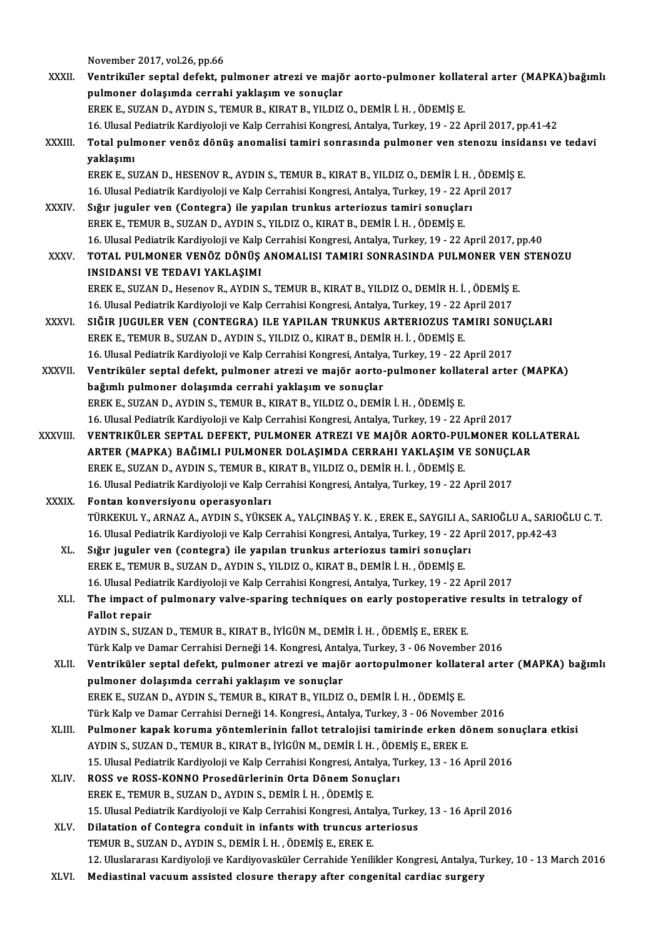November 2017, vol.26, pp.66

- November 2017, vol.26, pp.66<br>XXXII. Ventriküler septal defekt, pulmoner atrezi ve majör aorto-pulmoner kollateral arter (MAPKA)bağımlı<br>nulmoner delesunde serrebi yeklesun ve serveler. November 2017, vol.26, pp.66<br>Ventriküler septal defekt, pulmoner atrezi ve majö<br>pulmoner dolaşımda cerrahi yaklaşım ve sonuçlar<br>FREK E. SUZAN D. AYDIN S. TEMUR B. KIRAT B. YU DIZ pulmoner dolaşımda cerrahi yaklaşım ve sonuçlar<br>EREK E., SUZAN D., AYDIN S., TEMUR B., KIRAT B., YILDIZ O., DEMİR İ. H. , ÖDEMİŞ E. pulmoner dolaşımda cerrahi yaklaşım ve sonuçlar<br>EREK E., SUZAN D., AYDIN S., TEMUR B., KIRAT B., YILDIZ O., DEMİR İ. H. , ÖDEMİŞ E.<br>16. Ulusal Pediatrik Kardiyoloji ve Kalp Cerrahisi Kongresi, Antalya, Turkey, 19 - 22 Apri XXXIII. Total pulmoner venöz dönüş anomalisi tamiri sonrasında pulmoner ven stenozu insidansı ve tedavi<br>yaklaşımı 16. Ulusal I<br><mark>Total pulr</mark><br>yaklaşımı<br>FPEK E. SI Total pulmoner venöz dönüş anomalisi tamiri sonrasında pulmoner ven stenozu insid<br>yaklaşımı<br>EREK E., SUZAN D., HESENOV R., AYDIN S., TEMUR B., KIRAT B., YILDIZ O., DEMİR İ. H. , ÖDEMİŞ E.<br>16 Ulucal Podiatrik Kardiveleji ve yaklaşımı<br>EREK E., SUZAN D., HESENOV R., AYDIN S., TEMUR B., KIRAT B., YILDIZ O., DEMİR İ. H. , ÖDEMİŞ<br>16. Ulusal Pediatrik Kardiyoloji ve Kalp Cerrahisi Kongresi, Antalya, Turkey, 19 - 22 April 2017<br>Sığır iyaylar van (Con XXXIV. Sığır juguler ven (Contegra) ile yapılan trunkus arteriozus tamiri sonuçları<br>EREK E., TEMUR B., SUZAN D., AYDIN S., YILDIZ O., KIRAT B., DEMİR İ. H., ÖDEMİŞ E. 16, Ulusal Pediatrik Kardiyoloji ve Kalp Cerrahisi Kongresi, Antalya, Turkey, 19 - 22 April 2017 16. Ulusal Pediatrik Kardiyoloji ve Kalp Cerrahisi Kongresi, Antalya, Turkey, 19 - 22 April 2017, pp.40 EREK E., TEMUR B., SUZAN D., AYDIN S., YILDIZ O., KIRAT B., DEMİR İ. H. , ÖDEMİŞ E.<br>16. Ulusal Pediatrik Kardiyoloji ve Kalp Cerrahisi Kongresi, Antalya, Turkey, 19 - 22 April 2017, pp.40<br>XXXV. TOTAL PULMONER VENÖZ DÖN 16. Ulusal Pediatrik Kardiyoloji ve Kalp<br>TOTAL PULMONER VENÖZ DÖNÜŞ<br>INSIDANSI VE TEDAVI YAKLAŞIMI<br>EPEV E. SUZAN D. Hosonov B. AYDIN TOTAL PULMONER VENÖZ DÖNÜŞ ANOMALISI TAMIRI SONRASINDA PULMONER VEN<br>INSIDANSI VE TEDAVI YAKLAŞIMI<br>EREK E., SUZAN D., Hesenov R., AYDIN S., TEMUR B., KIRAT B., YILDIZ O., DEMİR H. İ. , ÖDEMİŞ E.<br>16 Hlucal Bodistrik Kardiyal INSIDANSI VE TEDAVI YAKLAŞIMI<br>EREK E., SUZAN D., Hesenov R., AYDIN S., TEMUR B., KIRAT B., YILDIZ O., DEMİR H. İ. , ÖDEMİŞ I<br>16. Ulusal Pediatrik Kardiyoloji ve Kalp Cerrahisi Kongresi, Antalya, Turkey, 19 - 22 April 2017<br> EREK E., SUZAN D., Hesenov R., AYDIN S., TEMUR B., KIRAT B., YILDIZ O., DEMİR H. İ. , ÖDEMİŞ E.<br>16. Ulusal Pediatrik Kardiyoloji ve Kalp Cerrahisi Kongresi, Antalya, Turkey, 19 - 22 April 2017<br>XXXVI. SIĞIR JUGULER VEN (CON 16. Ulusal Pediatrik Kardiyoloji ve Kalp Cerrahisi Kongresi, Antalya, Turkey, 19 - 22 /<br>SIĞIR JUGULER VEN (CONTEGRA) ILE YAPILAN TRUNKUS ARTERIOZUS TA<br>EREK E., TEMUR B., SUZAN D., AYDIN S., YILDIZ O., KIRAT B., DEMİR H. İ. SIĞIR JUGULER VEN (CONTEGRA) ILE YAPILAN TRUNKUS ARTERIOZUS TAMIRI SON<br>EREK E., TEMUR B., SUZAN D., AYDIN S., YILDIZ O., KIRAT B., DEMİR H. İ. , ÖDEMİŞ E.<br>16. Ulusal Pediatrik Kardiyoloji ve Kalp Cerrahisi Kongresi, Antaly EREK E., TEMUR B., SUZAN D., AYDIN S., YILDIZ O., KIRAT B., DEMİR H. İ. , ÖDEMİŞ E.<br>16. Ulusal Pediatrik Kardiyoloji ve Kalp Cerrahisi Kongresi, Antalya, Turkey, 19 - 22 April 2017<br>XXXVII. Ventriküler septal defekt, pu 16. Ulusal Pediatrik Kardiyoloji ve Kalp Cerrahisi Kongresi, Antalya<br>Ventriküler septal defekt, pulmoner atrezi ve majör aorto-<br>bağımlı pulmoner dolaşımda cerrahi yaklaşım ve sonuçlar<br>FREV E. SUZAN D. AVDIN S. TEMUR R. KIR Ventriküler septal defekt, pulmoner atrezi ve majör aorto-pulmoner kollat<br>bağımlı pulmoner dolaşımda cerrahi yaklaşım ve sonuçlar<br>EREK E., SUZAN D., AYDIN S., TEMUR B., KIRAT B., YILDIZ O., DEMİR İ. H. , ÖDEMİŞ E.<br>16 Hluca bağımlı pulmoner dolaşımda cerrahi yaklaşım ve sonuçlar<br>EREK E., SUZAN D., AYDIN S., TEMUR B., KIRAT B., YILDIZ O., DEMİR İ. H. , ÖDEMİŞ E.<br>16. Ulusal Pediatrik Kardiyoloji ve Kalp Cerrahisi Kongresi, Antalya, Turkey, 19 -EREK E., SUZAN D., AYDIN S., TEMUR B., KIRAT B., YILDIZ O., DEMİR İ. H. , ÖDEMİŞ E.<br>16. Ulusal Pediatrik Kardiyoloji ve Kalp Cerrahisi Kongresi, Antalya, Turkey, 19 - 22 April 2017<br>XXXVIII. 16. Ulusal Pediatrik Kardiyoloji ve Kalp Cerrahisi Kongresi, Antalya, Turkey, 19 - 22 April 2017<br>VENTRIKÜLER SEPTAL DEFEKT, PULMONER ATREZI VE MAJÖR AORTO-PULMONER KOLI<br>ARTER (MAPKA) BAĞIMLI PULMONER DOLAŞIMDA CERRAHI YAKL VENTRIKÜLER SEPTAL DEFEKT, PULMONER ATREZI VE MAJÖR AORTO-PUI<br>ARTER (MAPKA) BAĞIMLI PULMONER DOLAŞIMDA CERRAHI YAKLAŞIM V<br>EREK E., SUZAN D., AYDIN S., TEMUR B., KIRAT B., YILDIZ O., DEMİR H. İ. , ÖDEMİŞ E.<br>16 Hlucal Bodiat ARTER (MAPKA) BAĞIMLI PULMONER DOLAŞIMDA CERRAHI YAKLAŞIM VE SONUÇLAR<br>EREK E., SUZAN D., AYDIN S., TEMUR B., KIRAT B., YILDIZ O., DEMİR H. İ. , ÖDEMİŞ E.<br>16. Ulusal Pediatrik Kardiyoloji ve Kalp Cerrahisi Kongresi, Antalya EREK E., SUZAN D., AYDIN S., TEMUR B., K<br>16. Ulusal Pediatrik Kardiyoloji ve Kalp Cortan konversiyonu operasyonları<br>Tüpkekul Y. ABNAZ A. AYDIN S. Yüksi 16. Ulusal Pediatrik Kardiyoloji ve Kalp Cerrahisi Kongresi, Antalya, Turkey, 19 - 22 April 2017<br>**Fontan konversiyonu operasyonları**<br>TÜRKEKUL Y., ARNAZ A., AYDIN S., YÜKSEK A., YALÇINBAŞ Y. K. , EREK E., SAYGILI A., SARIOĞ Fontan konversiyonu operasyonları<br>TÜRKEKUL Y., ARNAZ A., AYDIN S., YÜKSEK A., YALÇINBAŞ Y. K. , EREK E., SAYGILI A., SARIOĞLU A., SARIC<br>16. Ulusal Pediatrik Kardiyoloji ve Kalp Cerrahisi Kongresi, Antalya, Turkey, 19 - 22 TÜRKEKUL Y., ARNAZ A., AYDIN S., YÜKSEK A., YALÇINBAŞ Y. K., EREK E., SAYGILI A., 1<br>16. Ulusal Pediatrik Kardiyoloji ve Kalp Cerrahisi Kongresi, Antalya, Turkey, 19 - 22 A<sub>l</sub><br>XL. Sığır juguler ven (contegra) ile yapılan tr 16. Ulusal Pediatrik Kardiyoloji ve Kalp Cerrahisi Kongresi, Antalya, Turkey, 19 - 22 /<br>Sığır juguler ven (contegra) ile yapılan trunkus arteriozus tamiri sonuçlar<br>EREK E., TEMUR B., SUZAN D., AYDIN S., YILDIZ O., KIRAT B. Sığır juguler ven (contegra) ile yapılan trunkus arteriozus tamiri sonuçları<br>EREK E., TEMUR B., SUZAN D., AYDIN S., YILDIZ O., KIRAT B., DEMİR İ. H. , ÖDEMİŞ E.<br>16. Ulusal Pediatrik Kardiyoloji ve Kalp Cerrahisi Kongresi, EREK E., TEMUR B., SUZAN D., AYDIN S., YILDIZ O., KIRAT B., DEMİR İ. H. , ÖDEMİŞ E.<br>16. Ulusal Pediatrik Kardiyoloji ve Kalp Cerrahisi Kongresi, Antalya, Turkey, 19 - 22 April 2017<br>XLI. The impact of pulmonary valve-sp 16. Ulusal Pediatrik Kardiyoloji ve Kalp Cerrahisi Kongresi, Antalya, Turkey, 19 - 22 April 2017<br>The impact of pulmonary valve-sparing techniques on early postoperative results i<br>Fallot repair<br>AYDIN S., SUZAN D., TEMUR B., The impact of pulmonary valve-sparing techniques on early postoperative<br>Fallot repair<br>AYDIN S., SUZAN D., TEMUR B., KIRAT B., İYİGÜN M., DEMİR İ. H. , ÖDEMİŞ E., EREK E.<br>Türk Kaln ve Damar Carrabisi Darnaği 14 Kangrasi Ant Türk Kalp ve Damar Cerrahisi Derneği 14. Kongresi, Antalya, Turkey, 3 - 06 November 2016 AYDIN S., SUZAN D., TEMUR B., KIRAT B., İYİGÜN M., DEMİR İ. H. , ÖDEMİŞ E., EREK E.<br>Türk Kalp ve Damar Cerrahisi Derneği 14. Kongresi, Antalya, Turkey, 3 - 06 November 2016<br>XLII. Ventriküler septal defekt, pulmoner atr Türk Kalp ve Damar Cerrahisi Derneği 14. Kongresi, Anta<br>Ventriküler septal defekt, pulmoner atrezi ve majö<br>pulmoner dolaşımda cerrahi yaklaşım ve sonuçlar<br>FREV E. SUZAN D. AYDIN S. TEMUR R. KIRAT R. YU DIZ Ventriküler septal defekt, pulmoner atrezi ve majör aortopulmoner kollatı<br>pulmoner dolaşımda cerrahi yaklaşım ve sonuçlar<br>EREK E., SUZAN D., AYDIN S., TEMUR B., KIRAT B., YILDIZ O., DEMİR İ. H. , ÖDEMİŞ E.<br>Türk Kalp ve Dam pulmoner dolaşımda cerrahi yaklaşım ve sonuçlar<br>EREK E., SUZAN D., AYDIN S., TEMUR B., KIRAT B., YILDIZ O., DEMİR İ. H. , ÖDEMİŞ E.<br>Türk Kalp ve Damar Cerrahisi Derneği 14. Kongresi., Antalya, Turkey, 3 - 06 November 2016<br> EREK E., SUZAN D., AYDIN S., TEMUR B., KIRAT B., YILDIZ O., DEMİR İ. H. , ÖDEMİŞ E.<br>Türk Kalp ve Damar Cerrahisi Derneği 14. Kongresi., Antalya, Turkey, 3 - 06 November 2016<br>XLIII. Pulmoner kapak koruma yöntemlerinin f Türk Kalp ve Damar Cerrahisi Derneği 14. Kongresi, Antalya, Turkey, 3 - 06 Novemb<br>Pulmoner kapak koruma yöntemlerinin fallot tetralojisi tamirinde erken dö<br>AYDIN S., SUZAN D., TEMUR B., KIRAT B., İYİGÜN M., DEMİR İ. H. , Ö Pulmoner kapak koruma yöntemlerinin fallot tetralojisi tamirinde erken dönem son<br>AYDIN S., SUZAN D., TEMUR B., KIRAT B., İYİGÜN M., DEMİR İ. H. , ÖDEMİŞ E., EREK E.<br>15. Ulusal Pediatrik Kardiyoloji ve Kalp Cerrahisi Kongre AYDIN S., SUZAN D., TEMUR B., KIRAT B., İYİGÜN M., DEMİR İ. H. , ÖDEMİŞ E., EREK E.<br>15. Ulusal Pediatrik Kardiyoloji ve Kalp Cerrahisi Kongresi, Antalya, Turkey, 13 - 16 A<br>XLIV. ROSS ve ROSS-KONNO Prosedürlerinin Orta 15. Ulusal Pediatrik Kardiyoloji ve Kalp Cerrahisi Kongresi, Antalya, Turkey, 13 - 16 April 2016 ROSS ve ROSS-KONNO Prosedürlerinin Orta Dönem Sonuçları<br>EREK E., TEMUR B., SUZAN D., AYDIN S., DEMİR İ. H. , ÖDEMİŞ E.<br>15. Ulusal Pediatrik Kardiyoloji ve Kalp Cerrahisi Kongresi, Antalya, Turkey, 13 - 16 April 2016<br>Dilata EREK E., TEMUR B., SUZAN D., AYDIN S., DEMİR İ. H., ÖDEMİŞ E.<br>15. Ulusal Pediatrik Kardiyoloji ve Kalp Cerrahisi Kongresi, Antalya, Turke<br>XLV. Dilatation of Contegra conduit in infants with truncus arteriosus<br>TEMUR B. SUZA 15. Ulusal Pediatrik Kardiyoloji ve Kalp Cerrahisi Kongresi, Anta<br>Dilatation of Contegra conduit in infants with truncus ar<br>TEMUR B., SUZAN D., AYDIN S., DEMİR İ. H. , ÖDEMİŞ E., EREK E.<br>12. Uluslaranası Kardiyolaji ve Kar 1112. Dilatation of Contegra conduit in infants with truncus arteriosus<br>12. Uluslararası Kardiyoloji ve Kardiyovasküler Cerrahide Yenilikler Kongresi, Antalya, Turkey, 10 - 13 March<br>12. Uluslararası Kardiyoloji ve Kardiyov
	- XLVI. Mediastinal vacuum assisted closure therapy after congenital cardiac surgery